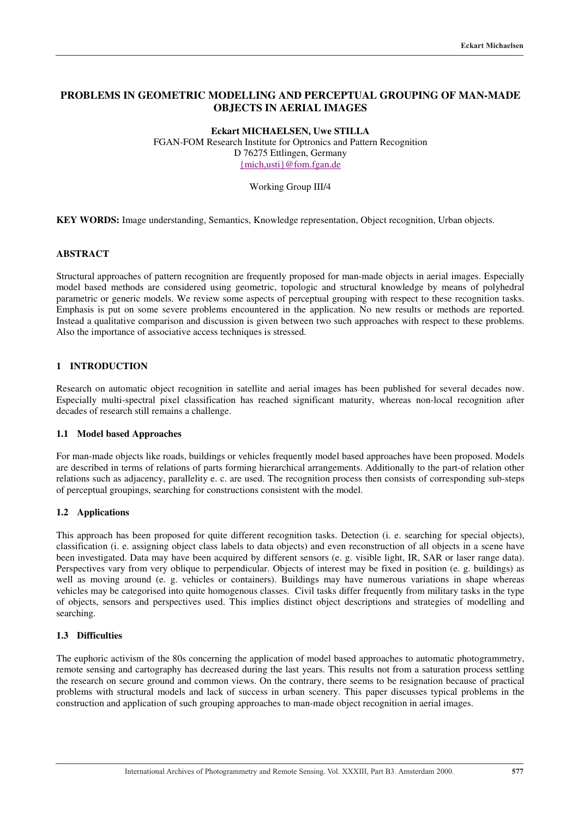# **PROBLEMS IN GEOMETRIC MODELLING AND PERCEPTUAL GROUPING OF MAN-MADE OBJECTS IN AERIAL IMAGES**

**Eckart MICHAELSEN, Uwe STILLA** FGAN-FOM Research Institute for Optronics and Pattern Recognition D 76275 Ettlingen, Germany {mich,usti}@fom.fgan.de

### Working Group III/4

**KEY WORDS:** Image understanding, Semantics, Knowledge representation, Object recognition, Urban objects.

## **ABSTRACT**

Structural approaches of pattern recognition are frequently proposed for man-made objects in aerial images. Especially model based methods are considered using geometric, topologic and structural knowledge by means of polyhedral parametric or generic models. We review some aspects of perceptual grouping with respect to these recognition tasks. Emphasis is put on some severe problems encountered in the application. No new results or methods are reported. Instead a qualitative comparison and discussion is given between two such approaches with respect to these problems. Also the importance of associative access techniques is stressed.

## **1 INTRODUCTION**

Research on automatic object recognition in satellite and aerial images has been published for several decades now. Especially multi-spectral pixel classification has reached significant maturity, whereas non-local recognition after decades of research still remains a challenge.

### **1.1 Model based Approaches**

For man-made objects like roads, buildings or vehicles frequently model based approaches have been proposed. Models are described in terms of relations of parts forming hierarchical arrangements. Additionally to the part-of relation other relations such as adjacency, parallelity e. c. are used. The recognition process then consists of corresponding sub-steps of perceptual groupings, searching for constructions consistent with the model.

#### **1.2 Applications**

This approach has been proposed for quite different recognition tasks. Detection (i. e. searching for special objects), classification (i. e. assigning object class labels to data objects) and even reconstruction of all objects in a scene have been investigated. Data may have been acquired by different sensors (e. g. visible light, IR, SAR or laser range data). Perspectives vary from very oblique to perpendicular. Objects of interest may be fixed in position (e. g. buildings) as well as moving around (e. g. vehicles or containers). Buildings may have numerous variations in shape whereas vehicles may be categorised into quite homogenous classes. Civil tasks differ frequently from military tasks in the type of objects, sensors and perspectives used. This implies distinct object descriptions and strategies of modelling and searching.

### **1.3 Difficulties**

The euphoric activism of the 80s concerning the application of model based approaches to automatic photogrammetry, remote sensing and cartography has decreased during the last years. This results not from a saturation process settling the research on secure ground and common views. On the contrary, there seems to be resignation because of practical problems with structural models and lack of success in urban scenery. This paper discusses typical problems in the construction and application of such grouping approaches to man-made object recognition in aerial images.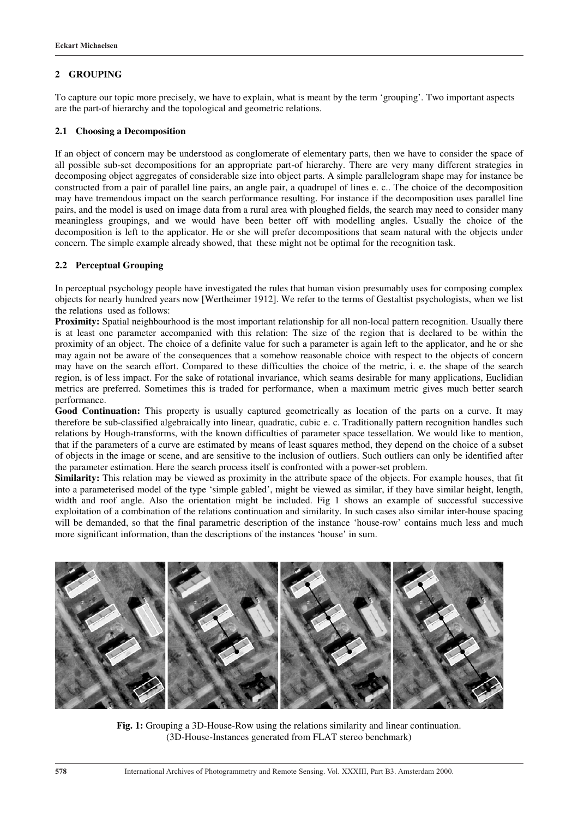### **2 GROUPING**

To capture our topic more precisely, we have to explain, what is meant by the term 'grouping'. Two important aspects are the part-of hierarchy and the topological and geometric relations.

#### **2.1 Choosing a Decomposition**

If an object of concern may be understood as conglomerate of elementary parts, then we have to consider the space of all possible sub-set decompositions for an appropriate part-of hierarchy. There are very many different strategies in decomposing object aggregates of considerable size into object parts. A simple parallelogram shape may for instance be constructed from a pair of parallel line pairs, an angle pair, a quadrupel of lines e. c.. The choice of the decomposition may have tremendous impact on the search performance resulting. For instance if the decomposition uses parallel line pairs, and the model is used on image data from a rural area with ploughed fields, the search may need to consider many meaningless groupings, and we would have been better off with modelling angles. Usually the choice of the decomposition is left to the applicator. He or she will prefer decompositions that seam natural with the objects under concern. The simple example already showed, that these might not be optimal for the recognition task.

#### **2.2 Perceptual Grouping**

In perceptual psychology people have investigated the rules that human vision presumably uses for composing complex objects for nearly hundred years now [Wertheimer 1912]. We refer to the terms of Gestaltist psychologists, when we list the relations used as follows:

**Proximity:** Spatial neighbourhood is the most important relationship for all non-local pattern recognition. Usually there is at least one parameter accompanied with this relation: The size of the region that is declared to be within the proximity of an object. The choice of a definite value for such a parameter is again left to the applicator, and he or she may again not be aware of the consequences that a somehow reasonable choice with respect to the objects of concern may have on the search effort. Compared to these difficulties the choice of the metric, i. e. the shape of the search region, is of less impact. For the sake of rotational invariance, which seams desirable for many applications, Euclidian metrics are preferred. Sometimes this is traded for performance, when a maximum metric gives much better search performance.

Good Continuation: This property is usually captured geometrically as location of the parts on a curve. It may therefore be sub-classified algebraically into linear, quadratic, cubic e. c. Traditionally pattern recognition handles such relations by Hough-transforms, with the known difficulties of parameter space tessellation. We would like to mention, that if the parameters of a curve are estimated by means of least squares method, they depend on the choice of a subset of objects in the image or scene, and are sensitive to the inclusion of outliers. Such outliers can only be identified after the parameter estimation. Here the search process itself is confronted with a power-set problem.

**Similarity:** This relation may be viewed as proximity in the attribute space of the objects. For example houses, that fit into a parameterised model of the type 'simple gabled', might be viewed as similar, if they have similar height, length, width and roof angle. Also the orientation might be included. Fig 1 shows an example of successful successive exploitation of a combination of the relations continuation and similarity. In such cases also similar inter-house spacing will be demanded, so that the final parametric description of the instance 'house-row' contains much less and much more significant information, than the descriptions of the instances 'house' in sum.



**Fig. 1:** Grouping a 3D-House-Row using the relations similarity and linear continuation. (3D-House-Instances generated from FLAT stereo benchmark)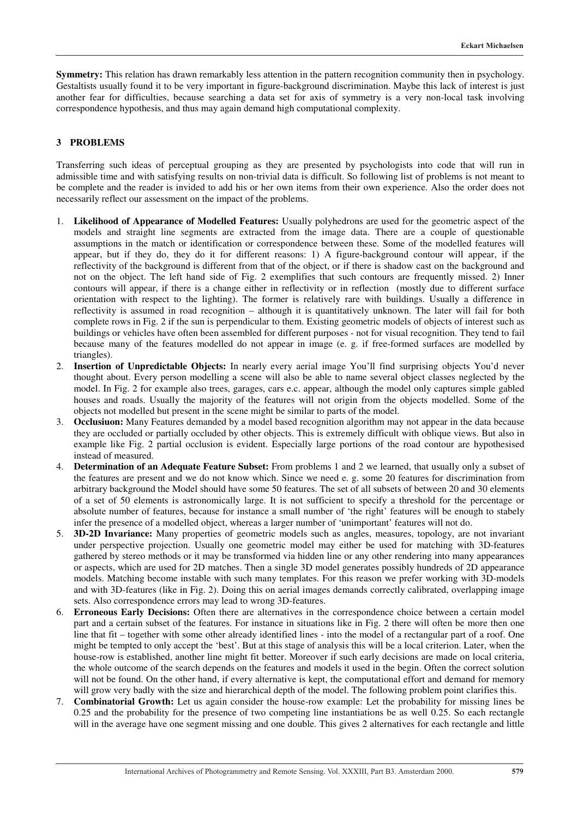**Symmetry:** This relation has drawn remarkably less attention in the pattern recognition community then in psychology. Gestaltists usually found it to be very important in figure-background discrimination. Maybe this lack of interest is just another fear for difficulties, because searching a data set for axis of symmetry is a very non-local task involving correspondence hypothesis, and thus may again demand high computational complexity.

## **3 PROBLEMS**

Transferring such ideas of perceptual grouping as they are presented by psychologists into code that will run in admissible time and with satisfying results on non-trivial data is difficult. So following list of problems is not meant to be complete and the reader is invided to add his or her own items from their own experience. Also the order does not necessarily reflect our assessment on the impact of the problems.

- 1. **Likelihood of Appearance of Modelled Features:** Usually polyhedrons are used for the geometric aspect of the models and straight line segments are extracted from the image data. There are a couple of questionable assumptions in the match or identification or correspondence between these. Some of the modelled features will appear, but if they do, they do it for different reasons: 1) A figure-background contour will appear, if the reflectivity of the background is different from that of the object, or if there is shadow cast on the background and not on the object. The left hand side of Fig. 2 exemplifies that such contours are frequently missed. 2) Inner contours will appear, if there is a change either in reflectivity or in reflection (mostly due to different surface orientation with respect to the lighting). The former is relatively rare with buildings. Usually a difference in reflectivity is assumed in road recognition – although it is quantitatively unknown. The later will fail for both complete rows in Fig. 2 if the sun is perpendicular to them. Existing geometric models of objects of interest such as buildings or vehicles have often been assembled for different purposes - not for visual recognition. They tend to fail because many of the features modelled do not appear in image (e. g. if free-formed surfaces are modelled by triangles).
- 2. **Insertion of Unpredictable Objects:** In nearly every aerial image You'll find surprising objects You'd never thought about. Every person modelling a scene will also be able to name several object classes neglected by the model. In Fig. 2 for example also trees, garages, cars e.c. appear, although the model only captures simple gabled houses and roads. Usually the majority of the features will not origin from the objects modelled. Some of the objects not modelled but present in the scene might be similar to parts of the model.
- 3. **Occlusiuon:** Many Features demanded by a model based recognition algorithm may not appear in the data because they are occluded or partially occluded by other objects. This is extremely difficult with oblique views. But also in example like Fig. 2 partial occlusion is evident. Especially large portions of the road contour are hypothesised instead of measured.
- 4. **Determination of an Adequate Feature Subset:** From problems 1 and 2 we learned, that usually only a subset of the features are present and we do not know which. Since we need e. g. some 20 features for discrimination from arbitrary background the Model should have some 50 features. The set of all subsets of between 20 and 30 elements of a set of 50 elements is astronomically large. It is not sufficient to specify a threshold for the percentage or absolute number of features, because for instance a small number of 'the right' features will be enough to stabely infer the presence of a modelled object, whereas a larger number of 'unimportant' features will not do.
- 5. **3D-2D Invariance:** Many properties of geometric models such as angles, measures, topology, are not invariant under perspective projection. Usually one geometric model may either be used for matching with 3D-features gathered by stereo methods or it may be transformed via hidden line or any other rendering into many appearances or aspects, which are used for 2D matches. Then a single 3D model generates possibly hundreds of 2D appearance models. Matching become instable with such many templates. For this reason we prefer working with 3D-models and with 3D-features (like in Fig. 2). Doing this on aerial images demands correctly calibrated, overlapping image sets. Also correspondence errors may lead to wrong 3D-features.
- 6. **Erroneous Early Decisions:** Often there are alternatives in the correspondence choice between a certain model part and a certain subset of the features. For instance in situations like in Fig. 2 there will often be more then one line that fit – together with some other already identified lines - into the model of a rectangular part of a roof. One might be tempted to only accept the 'best'. But at this stage of analysis this will be a local criterion. Later, when the house-row is established, another line might fit better. Moreover if such early decisions are made on local criteria, the whole outcome of the search depends on the features and models it used in the begin. Often the correct solution will not be found. On the other hand, if every alternative is kept, the computational effort and demand for memory will grow very badly with the size and hierarchical depth of the model. The following problem point clarifies this.
- 7. **Combinatorial Growth:** Let us again consider the house-row example: Let the probability for missing lines be 0.25 and the probability for the presence of two competing line instantiations be as well 0.25. So each rectangle will in the average have one segment missing and one double. This gives 2 alternatives for each rectangle and little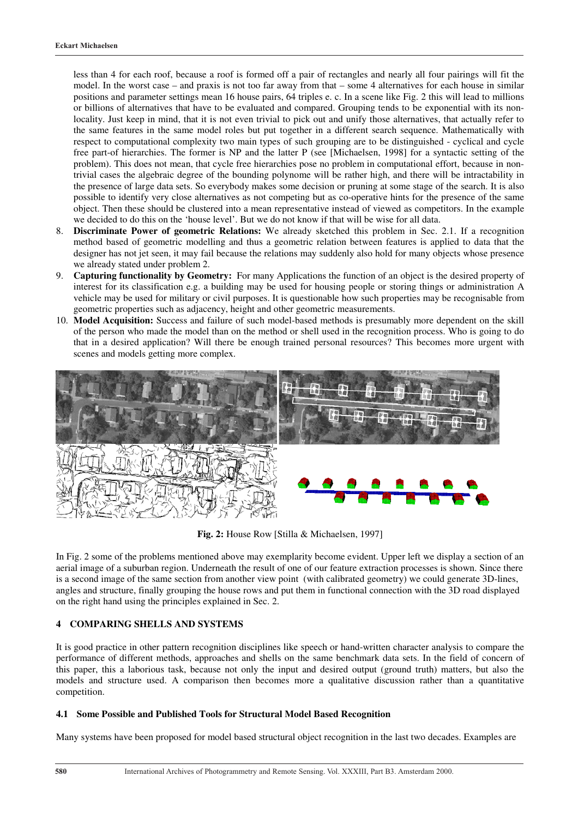less than 4 for each roof, because a roof is formed off a pair of rectangles and nearly all four pairings will fit the model. In the worst case – and praxis is not too far away from that – some 4 alternatives for each house in similar positions and parameter settings mean 16 house pairs, 64 triples e. c. In a scene like Fig. 2 this will lead to millions or billions of alternatives that have to be evaluated and compared. Grouping tends to be exponential with its nonlocality. Just keep in mind, that it is not even trivial to pick out and unify those alternatives, that actually refer to the same features in the same model roles but put together in a different search sequence. Mathematically with respect to computational complexity two main types of such grouping are to be distinguished - cyclical and cycle free part-of hierarchies. The former is NP and the latter P (see [Michaelsen, 1998] for a syntactic setting of the problem). This does not mean, that cycle free hierarchies pose no problem in computational effort, because in nontrivial cases the algebraic degree of the bounding polynome will be rather high, and there will be intractability in the presence of large data sets. So everybody makes some decision or pruning at some stage of the search. It is also possible to identify very close alternatives as not competing but as co-operative hints for the presence of the same object. Then these should be clustered into a mean representative instead of viewed as competitors. In the example we decided to do this on the 'house level'. But we do not know if that will be wise for all data.

- 8. **Discriminate Power of geometric Relations:** We already sketched this problem in Sec. 2.1. If a recognition method based of geometric modelling and thus a geometric relation between features is applied to data that the designer has not jet seen, it may fail because the relations may suddenly also hold for many objects whose presence we already stated under problem 2.
- 9. **Capturing functionality by Geometry:** For many Applications the function of an object is the desired property of interest for its classification e.g. a building may be used for housing people or storing things or administration A vehicle may be used for military or civil purposes. It is questionable how such properties may be recognisable from geometric properties such as adjacency, height and other geometric measurements.
- 10. **Model Acquisition:** Success and failure of such model-based methods is presumably more dependent on the skill of the person who made the model than on the method or shell used in the recognition process. Who is going to do that in a desired application? Will there be enough trained personal resources? This becomes more urgent with scenes and models getting more complex.



**Fig. 2:** House Row [Stilla & Michaelsen, 1997]

In Fig. 2 some of the problems mentioned above may exemplarity become evident. Upper left we display a section of an aerial image of a suburban region. Underneath the result of one of our feature extraction processes is shown. Since there is a second image of the same section from another view point (with calibrated geometry) we could generate 3D-lines, angles and structure, finally grouping the house rows and put them in functional connection with the 3D road displayed on the right hand using the principles explained in Sec. 2.

# **4 COMPARING SHELLS AND SYSTEMS**

It is good practice in other pattern recognition disciplines like speech or hand-written character analysis to compare the performance of different methods, approaches and shells on the same benchmark data sets. In the field of concern of this paper, this a laborious task, because not only the input and desired output (ground truth) matters, but also the models and structure used. A comparison then becomes more a qualitative discussion rather than a quantitative competition.

## **4.1 Some Possible and Published Tools for Structural Model Based Recognition**

Many systems have been proposed for model based structural object recognition in the last two decades. Examples are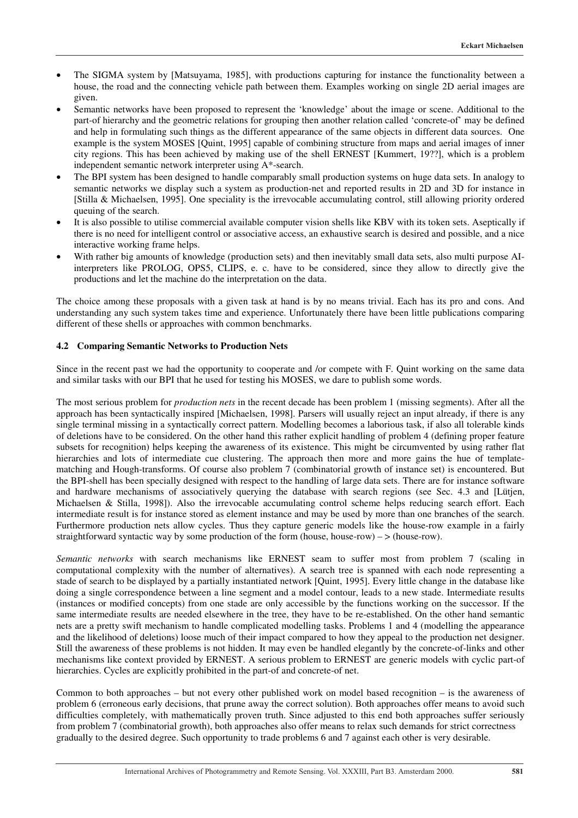- The SIGMA system by [Matsuyama, 1985], with productions capturing for instance the functionality between a house, the road and the connecting vehicle path between them. Examples working on single 2D aerial images are given.
- Semantic networks have been proposed to represent the 'knowledge' about the image or scene. Additional to the part-of hierarchy and the geometric relations for grouping then another relation called 'concrete-of' may be defined and help in formulating such things as the different appearance of the same objects in different data sources. One example is the system MOSES [Quint, 1995] capable of combining structure from maps and aerial images of inner city regions. This has been achieved by making use of the shell ERNEST [Kummert, 19??], which is a problem independent semantic network interpreter using A\*-search.
- The BPI system has been designed to handle comparably small production systems on huge data sets. In analogy to semantic networks we display such a system as production-net and reported results in 2D and 3D for instance in [Stilla & Michaelsen, 1995]. One speciality is the irrevocable accumulating control, still allowing priority ordered queuing of the search.
- It is also possible to utilise commercial available computer vision shells like KBV with its token sets. Aseptically if there is no need for intelligent control or associative access, an exhaustive search is desired and possible, and a nice interactive working frame helps.
- With rather big amounts of knowledge (production sets) and then inevitably small data sets, also multi purpose AIinterpreters like PROLOG, OPS5, CLIPS, e. c. have to be considered, since they allow to directly give the productions and let the machine do the interpretation on the data.

The choice among these proposals with a given task at hand is by no means trivial. Each has its pro and cons. And understanding any such system takes time and experience. Unfortunately there have been little publications comparing different of these shells or approaches with common benchmarks.

## **4.2 Comparing Semantic Networks to Production Nets**

Since in the recent past we had the opportunity to cooperate and /or compete with F. Quint working on the same data and similar tasks with our BPI that he used for testing his MOSES, we dare to publish some words.

The most serious problem for *production nets* in the recent decade has been problem 1 (missing segments). After all the approach has been syntactically inspired [Michaelsen, 1998]. Parsers will usually reject an input already, if there is any single terminal missing in a syntactically correct pattern. Modelling becomes a laborious task, if also all tolerable kinds of deletions have to be considered. On the other hand this rather explicit handling of problem 4 (defining proper feature subsets for recognition) helps keeping the awareness of its existence. This might be circumvented by using rather flat hierarchies and lots of intermediate cue clustering. The approach then more and more gains the hue of templatematching and Hough-transforms. Of course also problem 7 (combinatorial growth of instance set) is encountered. But the BPI-shell has been specially designed with respect to the handling of large data sets. There are for instance software and hardware mechanisms of associatively querying the database with search regions (see Sec. 4.3 and [Lütjen, Michaelsen & Stilla, 1998]). Also the irrevocable accumulating control scheme helps reducing search effort. Each intermediate result is for instance stored as element instance and may be used by more than one branches of the search. Furthermore production nets allow cycles. Thus they capture generic models like the house-row example in a fairly straightforward syntactic way by some production of the form (house, house-row) –  $>$  (house-row).

*Semantic networks* with search mechanisms like ERNEST seam to suffer most from problem 7 (scaling in computational complexity with the number of alternatives). A search tree is spanned with each node representing a stade of search to be displayed by a partially instantiated network [Quint, 1995]. Every little change in the database like doing a single correspondence between a line segment and a model contour, leads to a new stade. Intermediate results (instances or modified concepts) from one stade are only accessible by the functions working on the successor. If the same intermediate results are needed elsewhere in the tree, they have to be re-established. On the other hand semantic nets are a pretty swift mechanism to handle complicated modelling tasks. Problems 1 and 4 (modelling the appearance and the likelihood of deletions) loose much of their impact compared to how they appeal to the production net designer. Still the awareness of these problems is not hidden. It may even be handled elegantly by the concrete-of-links and other mechanisms like context provided by ERNEST. A serious problem to ERNEST are generic models with cyclic part-of hierarchies. Cycles are explicitly prohibited in the part-of and concrete-of net.

Common to both approaches – but not every other published work on model based recognition – is the awareness of problem 6 (erroneous early decisions, that prune away the correct solution). Both approaches offer means to avoid such difficulties completely, with mathematically proven truth. Since adjusted to this end both approaches suffer seriously from problem 7 (combinatorial growth), both approaches also offer means to relax such demands for strict correctness gradually to the desired degree. Such opportunity to trade problems 6 and 7 against each other is very desirable.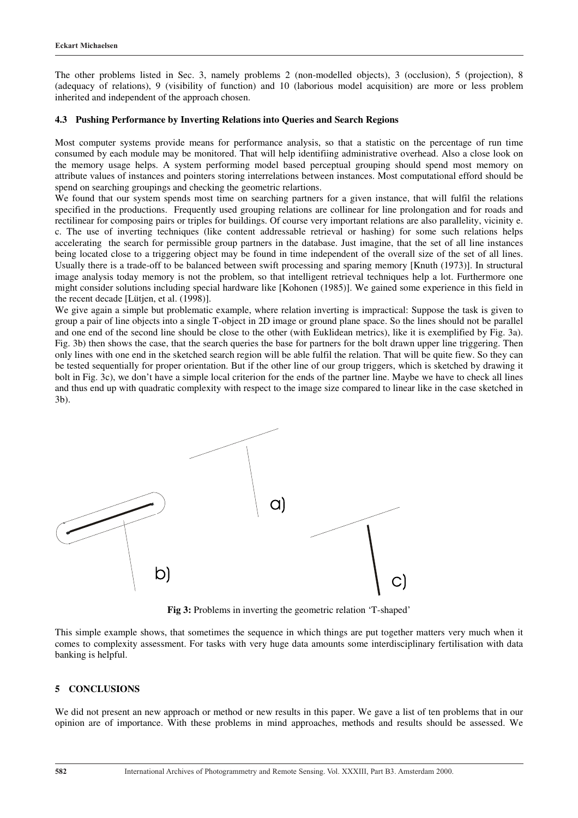The other problems listed in Sec. 3, namely problems 2 (non-modelled objects), 3 (occlusion), 5 (projection), 8 (adequacy of relations), 9 (visibility of function) and 10 (laborious model acquisition) are more or less problem inherited and independent of the approach chosen.

### **4.3 Pushing Performance by Inverting Relations into Queries and Search Regions**

Most computer systems provide means for performance analysis, so that a statistic on the percentage of run time consumed by each module may be monitored. That will help identifiing administrative overhead. Also a close look on the memory usage helps. A system performing model based perceptual grouping should spend most memory on attribute values of instances and pointers storing interrelations between instances. Most computational efford should be spend on searching groupings and checking the geometric relartions.

We found that our system spends most time on searching partners for a given instance, that will fulfil the relations specified in the productions. Frequently used grouping relations are collinear for line prolongation and for roads and rectilinear for composing pairs or triples for buildings. Of course very important relations are also parallelity, vicinity e. c. The use of inverting techniques (like content addressable retrieval or hashing) for some such relations helps accelerating the search for permissible group partners in the database. Just imagine, that the set of all line instances being located close to a triggering object may be found in time independent of the overall size of the set of all lines. Usually there is a trade-off to be balanced between swift processing and sparing memory [Knuth (1973)]. In structural image analysis today memory is not the problem, so that intelligent retrieval techniques help a lot. Furthermore one might consider solutions including special hardware like [Kohonen (1985)]. We gained some experience in this field in the recent decade [Lütjen, et al. (1998)].

We give again a simple but problematic example, where relation inverting is impractical: Suppose the task is given to group a pair of line objects into a single T-object in 2D image or ground plane space. So the lines should not be parallel and one end of the second line should be close to the other (with Euklidean metrics), like it is exemplified by Fig. 3a). Fig. 3b) then shows the case, that the search queries the base for partners for the bolt drawn upper line triggering. Then only lines with one end in the sketched search region will be able fulfil the relation. That will be quite fiew. So they can be tested sequentially for proper orientation. But if the other line of our group triggers, which is sketched by drawing it bolt in Fig. 3c), we don't have a simple local criterion for the ends of the partner line. Maybe we have to check all lines and thus end up with quadratic complexity with respect to the image size compared to linear like in the case sketched in 3b).



**Fig 3:** Problems in inverting the geometric relation 'T-shaped'

This simple example shows, that sometimes the sequence in which things are put together matters very much when it comes to complexity assessment. For tasks with very huge data amounts some interdisciplinary fertilisation with data banking is helpful.

#### **5 CONCLUSIONS**

We did not present an new approach or method or new results in this paper. We gave a list of ten problems that in our opinion are of importance. With these problems in mind approaches, methods and results should be assessed. We